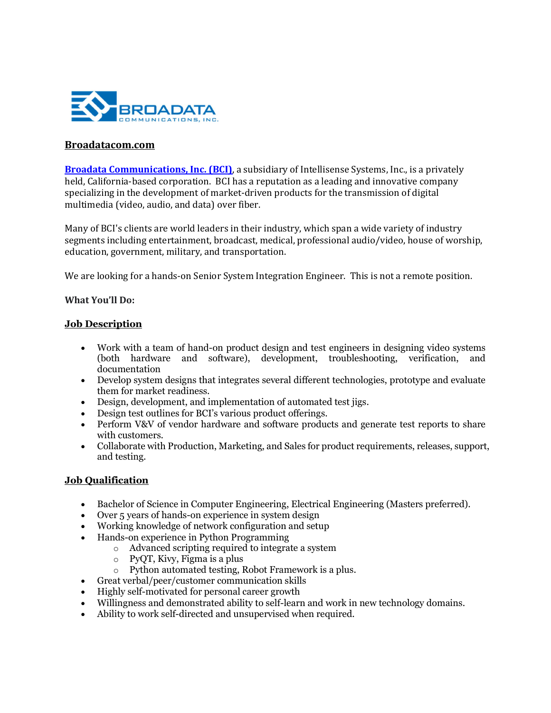

### Broadatacom.com

Broadata Communications, Inc. (BCI), a subsidiary of Intellisense Systems, Inc., is a privately held, California-based corporation. BCI has a reputation as a leading and innovative company specializing in the development of market-driven products for the transmission of digital multimedia (video, audio, and data) over fiber.

Many of BCI's clients are world leaders in their industry, which span a wide variety of industry segments including entertainment, broadcast, medical, professional audio/video, house of worship, education, government, military, and transportation.

We are looking for a hands-on Senior System Integration Engineer. This is not a remote position.

#### What You'll Do:

#### Job Description

- Work with a team of hand-on product design and test engineers in designing video systems (both hardware and software), development, troubleshooting, verification, and documentation
- Develop system designs that integrates several different technologies, prototype and evaluate them for market readiness.
- Design, development, and implementation of automated test jigs.
- Design test outlines for BCI's various product offerings.
- Perform V&V of vendor hardware and software products and generate test reports to share with customers.
- Collaborate with Production, Marketing, and Sales for product requirements, releases, support, and testing.

## Job Qualification

- Bachelor of Science in Computer Engineering, Electrical Engineering (Masters preferred).
- Over 5 years of hands-on experience in system design
- Working knowledge of network configuration and setup
- Hands-on experience in Python Programming
	- o Advanced scripting required to integrate a system
	- o PyQT, Kivy, Figma is a plus
	- o Python automated testing, Robot Framework is a plus.
- Great verbal/peer/customer communication skills
- Highly self-motivated for personal career growth
- Willingness and demonstrated ability to self-learn and work in new technology domains.
- Ability to work self-directed and unsupervised when required.